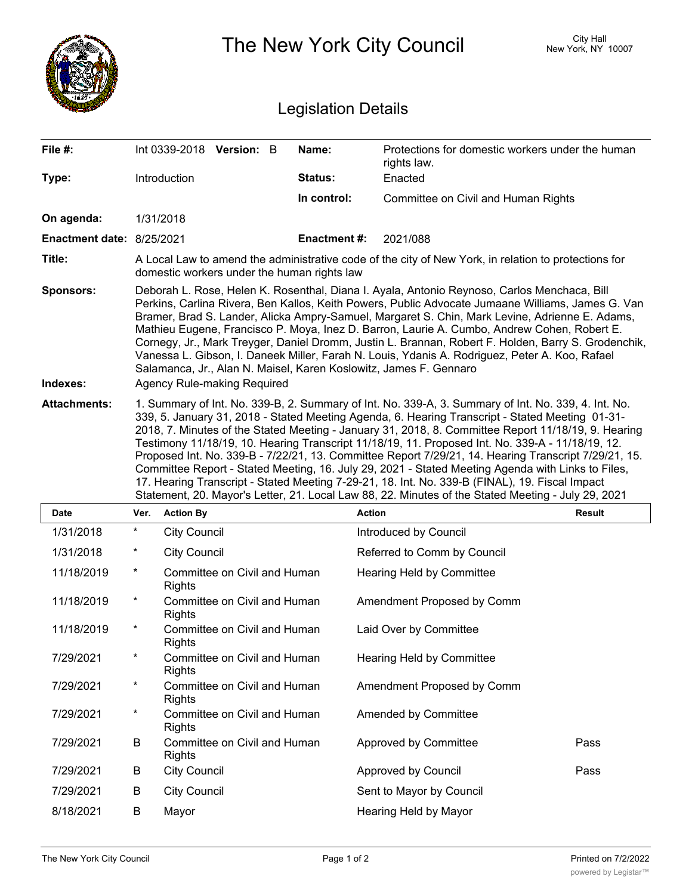|                              | The New York City Council                                                                                                                                                                                                                                                                                                                                                                                                                                                                                                                                                                                                                                                                                                                                                                                                              |                          |                              |  |                    |                                                                 | City Hall<br>New York, NY 10007 |               |  |
|------------------------------|----------------------------------------------------------------------------------------------------------------------------------------------------------------------------------------------------------------------------------------------------------------------------------------------------------------------------------------------------------------------------------------------------------------------------------------------------------------------------------------------------------------------------------------------------------------------------------------------------------------------------------------------------------------------------------------------------------------------------------------------------------------------------------------------------------------------------------------|--------------------------|------------------------------|--|--------------------|-----------------------------------------------------------------|---------------------------------|---------------|--|
| <b>Legislation Details</b>   |                                                                                                                                                                                                                                                                                                                                                                                                                                                                                                                                                                                                                                                                                                                                                                                                                                        |                          |                              |  |                    |                                                                 |                                 |               |  |
| File #:                      |                                                                                                                                                                                                                                                                                                                                                                                                                                                                                                                                                                                                                                                                                                                                                                                                                                        | Int 0339-2018 Version: B |                              |  | Name:              | Protections for domestic workers under the human<br>rights law. |                                 |               |  |
| Type:                        |                                                                                                                                                                                                                                                                                                                                                                                                                                                                                                                                                                                                                                                                                                                                                                                                                                        | Introduction             |                              |  | Status:            | Enacted                                                         |                                 |               |  |
|                              |                                                                                                                                                                                                                                                                                                                                                                                                                                                                                                                                                                                                                                                                                                                                                                                                                                        |                          |                              |  | In control:        | Committee on Civil and Human Rights                             |                                 |               |  |
| On agenda:                   | 1/31/2018                                                                                                                                                                                                                                                                                                                                                                                                                                                                                                                                                                                                                                                                                                                                                                                                                              |                          |                              |  |                    |                                                                 |                                 |               |  |
| Enactment date: 8/25/2021    |                                                                                                                                                                                                                                                                                                                                                                                                                                                                                                                                                                                                                                                                                                                                                                                                                                        |                          |                              |  | <b>Enactment#:</b> | 2021/088                                                        |                                 |               |  |
| Title:                       | A Local Law to amend the administrative code of the city of New York, in relation to protections for<br>domestic workers under the human rights law                                                                                                                                                                                                                                                                                                                                                                                                                                                                                                                                                                                                                                                                                    |                          |                              |  |                    |                                                                 |                                 |               |  |
| <b>Sponsors:</b><br>Indexes: | Deborah L. Rose, Helen K. Rosenthal, Diana I. Ayala, Antonio Reynoso, Carlos Menchaca, Bill<br>Perkins, Carlina Rivera, Ben Kallos, Keith Powers, Public Advocate Jumaane Williams, James G. Van<br>Bramer, Brad S. Lander, Alicka Ampry-Samuel, Margaret S. Chin, Mark Levine, Adrienne E. Adams,<br>Mathieu Eugene, Francisco P. Moya, Inez D. Barron, Laurie A. Cumbo, Andrew Cohen, Robert E.<br>Cornegy, Jr., Mark Treyger, Daniel Dromm, Justin L. Brannan, Robert F. Holden, Barry S. Grodenchik,<br>Vanessa L. Gibson, I. Daneek Miller, Farah N. Louis, Ydanis A. Rodriguez, Peter A. Koo, Rafael<br>Salamanca, Jr., Alan N. Maisel, Karen Koslowitz, James F. Gennaro<br>Agency Rule-making Required                                                                                                                         |                          |                              |  |                    |                                                                 |                                 |               |  |
| <b>Attachments:</b>          | 1. Summary of Int. No. 339-B, 2. Summary of Int. No. 339-A, 3. Summary of Int. No. 339, 4. Int. No.<br>339, 5. January 31, 2018 - Stated Meeting Agenda, 6. Hearing Transcript - Stated Meeting 01-31-<br>2018, 7. Minutes of the Stated Meeting - January 31, 2018, 8. Committee Report 11/18/19, 9. Hearing<br>Testimony 11/18/19, 10. Hearing Transcript 11/18/19, 11. Proposed Int. No. 339-A - 11/18/19, 12.<br>Proposed Int. No. 339-B - 7/22/21, 13. Committee Report 7/29/21, 14. Hearing Transcript 7/29/21, 15.<br>Committee Report - Stated Meeting, 16. July 29, 2021 - Stated Meeting Agenda with Links to Files,<br>17. Hearing Transcript - Stated Meeting 7-29-21, 18. Int. No. 339-B (FINAL), 19. Fiscal Impact<br>Statement, 20. Mayor's Letter, 21. Local Law 88, 22. Minutes of the Stated Meeting - July 29, 2021 |                          |                              |  |                    |                                                                 |                                 |               |  |
| Date                         | Ver.                                                                                                                                                                                                                                                                                                                                                                                                                                                                                                                                                                                                                                                                                                                                                                                                                                   | <b>Action By</b>         |                              |  |                    | <b>Action</b>                                                   |                                 | <b>Result</b> |  |
| 1/31/2018                    | $^\star$                                                                                                                                                                                                                                                                                                                                                                                                                                                                                                                                                                                                                                                                                                                                                                                                                               | <b>City Council</b>      |                              |  |                    | Introduced by Council                                           |                                 |               |  |
| 1/31/2018                    | $\ast$                                                                                                                                                                                                                                                                                                                                                                                                                                                                                                                                                                                                                                                                                                                                                                                                                                 | <b>City Council</b>      |                              |  |                    | Referred to Comm by Council                                     |                                 |               |  |
| 11/18/2019                   | $\ast$                                                                                                                                                                                                                                                                                                                                                                                                                                                                                                                                                                                                                                                                                                                                                                                                                                 | <b>Rights</b>            | Committee on Civil and Human |  |                    | <b>Hearing Held by Committee</b>                                |                                 |               |  |
| 11/18/2019                   | $^\ast$                                                                                                                                                                                                                                                                                                                                                                                                                                                                                                                                                                                                                                                                                                                                                                                                                                | <b>Rights</b>            | Committee on Civil and Human |  |                    | Amendment Proposed by Comm                                      |                                 |               |  |
| 11/18/2019                   | $\star$                                                                                                                                                                                                                                                                                                                                                                                                                                                                                                                                                                                                                                                                                                                                                                                                                                | <b>Rights</b>            | Committee on Civil and Human |  |                    | Laid Over by Committee                                          |                                 |               |  |
| 7/29/2021                    | $\ast$                                                                                                                                                                                                                                                                                                                                                                                                                                                                                                                                                                                                                                                                                                                                                                                                                                 | <b>Rights</b>            | Committee on Civil and Human |  |                    | Hearing Held by Committee                                       |                                 |               |  |
| 7/29/2021                    | $\star$                                                                                                                                                                                                                                                                                                                                                                                                                                                                                                                                                                                                                                                                                                                                                                                                                                | <b>Rights</b>            | Committee on Civil and Human |  |                    | Amendment Proposed by Comm                                      |                                 |               |  |
| 7/29/2021                    | $\star$                                                                                                                                                                                                                                                                                                                                                                                                                                                                                                                                                                                                                                                                                                                                                                                                                                | Rights                   | Committee on Civil and Human |  |                    | Amended by Committee                                            |                                 |               |  |
| 7/29/2021                    | B                                                                                                                                                                                                                                                                                                                                                                                                                                                                                                                                                                                                                                                                                                                                                                                                                                      | <b>Rights</b>            | Committee on Civil and Human |  |                    | Approved by Committee                                           |                                 | Pass          |  |
| 7/29/2021                    | B                                                                                                                                                                                                                                                                                                                                                                                                                                                                                                                                                                                                                                                                                                                                                                                                                                      | <b>City Council</b>      |                              |  |                    | Approved by Council                                             |                                 | Pass          |  |
| 7/29/2021                    | B                                                                                                                                                                                                                                                                                                                                                                                                                                                                                                                                                                                                                                                                                                                                                                                                                                      | <b>City Council</b>      |                              |  |                    | Sent to Mayor by Council                                        |                                 |               |  |
| 8/18/2021                    | B                                                                                                                                                                                                                                                                                                                                                                                                                                                                                                                                                                                                                                                                                                                                                                                                                                      | Mayor                    |                              |  |                    | Hearing Held by Mayor                                           |                                 |               |  |